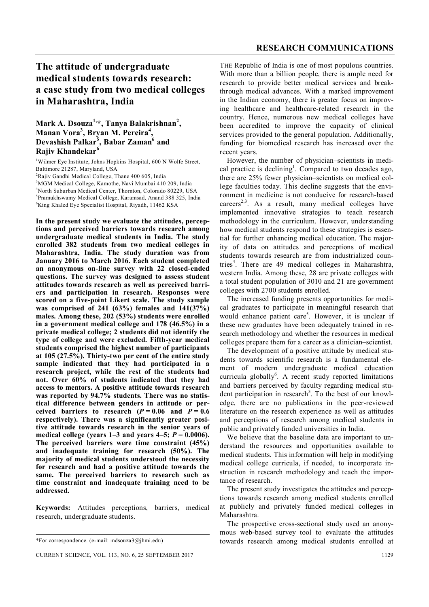# **The attitude of undergraduate medical students towards research: a case study from two medical colleges in Maharashtra, India**

## **Mark A. Dsouza1,\*, Tanya Balakrishnan<sup>2</sup> , Manan Vora<sup>3</sup> , Bryan M. Pereira<sup>4</sup> , Devashish Palkar<sup>5</sup> , Babar Zaman<sup>6</sup> and Rajiv Khandekar<sup>6</sup>**

<sup>1</sup>Wilmer Eye Institute, Johns Hopkins Hospital, 600 N Wolfe Street, Baltimore 21287, Maryland, USA

 $2$ Rajiv Gandhi Medical College, Thane 400 605, India

<sup>3</sup>MGM Medical College, Kamothe, Navi Mumbai 410 209, India

<sup>4</sup>North Suburban Medical Center, Thornton, Colorado 80229, USA 5 Pramukhswamy Medical College, Karamsad, Anand 388 325, India

<sup>6</sup>King Khaled Eye Specialist Hospital, Riyadh, 11462 KSA

**In the present study we evaluate the attitudes, perceptions and perceived barriers towards research among undergraduate medical students in India. The study enrolled 382 students from two medical colleges in Maharashtra, India. The study duration was from January 2016 to March 2016. Each student completed an anonymous on-line survey with 22 closed-ended questions. The survey was designed to assess student attitudes towards research as well as perceived barriers and participation in research. Responses were scored on a five-point Likert scale. The study sample was comprised of 241 (63%) females and 141(37%) males. Among these, 202 (53%) students were enrolled in a government medical college and 178 (46.5%) in a private medical college; 2 students did not identify the type of college and were excluded. Fifth-year medical students comprised the highest number of participants at 105 (27.5%). Thirty-two per cent of the entire study sample indicated that they had participated in a research project, while the rest of the students had not. Over 60% of students indicated that they had access to mentors. A positive attitude towards research was reported by 94.7% students. There was no statistical difference between genders in attitude or perceived barriers to research**  $(P = 0.06$  **and**  $P = 0.6$ **respectively). There was a significantly greater positive attitude towards research in the senior years of medical college (years 1–3 and years 4–5;**  $P = 0.0006$ **). The perceived barriers were time constraint (45%) and inadequate training for research (50%). The majority of medical students understood the necessity for research and had a positive attitude towards the same. The perceived barriers to research such as time constraint and inadequate training need to be addressed.**

**Keywords:** Attitudes perceptions, barriers, medical research, undergraduate students.

THE Republic of India is one of most populous countries. With more than a billion people, there is ample need for research to provide better medical services and breakthrough medical advances. With a marked improvement in the Indian economy, there is greater focus on improving healthcare and healthcare-related research in the country. Hence, numerous new medical colleges have been accredited to improve the capacity of clinical services provided to the general population. Additionally, funding for biomedical research has increased over the recent years.

However, the number of physician–scientists in medical practice is declining<sup>1</sup>. Compared to two decades ago, there are 25% fewer physician–scientists on medical college faculties today. This decline suggests that the environment in medicine is not conducive for research-based careers<sup>2,3</sup>. As a result, many medical colleges have implemented innovative strategies to teach research methodology in the curriculum. However, understanding how medical students respond to these strategies is essential for further enhancing medical education. The majority of data on attitudes and perceptions of medical students towards research are from industrialized countries<sup>4</sup>. There are 49 medical colleges in Maharashtra, western India. Among these, 28 are private colleges with a total student population of 3010 and 21 are government colleges with 2700 students enrolled.

The increased funding presents opportunities for medical graduates to participate in meaningful research that would enhance patient care<sup>5</sup>. However, it is unclear if these new graduates have been adequately trained in research methodology and whether the resources in medical colleges prepare them for a career as a clinician–scientist.

The development of a positive attitude by medical students towards scientific research is a fundamental element of modern undergraduate medical education curricula globally<sup>6</sup>. A recent study reported limitations and barriers perceived by faculty regarding medical student participation in research<sup>3</sup>. To the best of our knowledge, there are no publications in the peer-reviewed literature on the research experience as well as attitudes and perceptions of research among medical students in public and privately funded universities in India.

We believe that the baseline data are important to understand the resources and opportunities available to medical students. This information will help in modifying medical college curricula, if needed, to incorporate instruction in research methodology and teach the importance of research.

The present study investigates the attitudes and perceptions towards research among medical students enrolled at publicly and privately funded medical colleges in Maharashtra.

The prospective cross-sectional study used an anonymous web-based survey tool to evaluate the attitudes towards research among medical students enrolled at

<sup>\*</sup>For correspondence. (e-mail: mdsouza3@jhmi.edu)

CURRENT SCIENCE, VOL. 113, NO. 6, 25 SEPTEMBER 2017 1129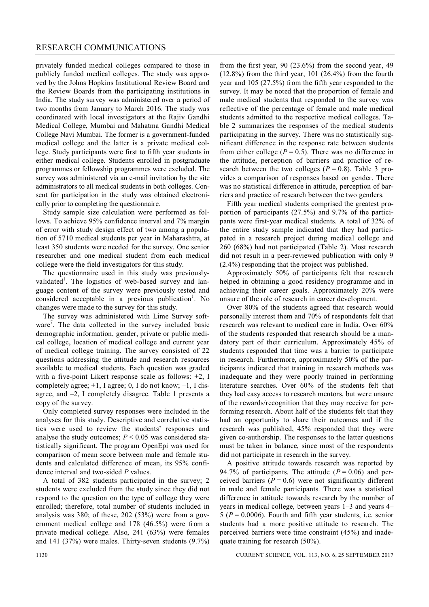### RESEARCH COMMUNICATIONS

privately funded medical colleges compared to those in publicly funded medical colleges. The study was approved by the Johns Hopkins Institutional Review Board and the Review Boards from the participating institutions in India. The study survey was administered over a period of two months from January to March 2016. The study was coordinated with local investigators at the Rajiv Gandhi Medical College, Mumbai and Mahatma Gandhi Medical College Navi Mumbai. The former is a government-funded medical college and the latter is a private medical college. Study participants were first to fifth year students in either medical college. Students enrolled in postgraduate programmes or fellowship programmes were excluded. The survey was administered via an e-mail invitation by the site administrators to all medical students in both colleges. Consent for participation in the study was obtained electronically prior to completing the questionnaire.

Study sample size calculation were performed as follows. To achieve 95% confidence interval and 7% margin of error with study design effect of two among a population of 5710 medical students per year in Maharashtra, at least 350 students were needed for the survey. One senior researcher and one medical student from each medical college were the field investigators for this study.

The questionnaire used in this study was previouslyvalidated<sup>1</sup>. The logistics of web-based survey and language content of the survey were previously tested and considered acceptable in a previous publication<sup>1</sup>. No changes were made to the survey for this study.

The survey was administered with Lime Survey software<sup>7</sup>. The data collected in the survey included basic demographic information, gender, private or public medical college, location of medical college and current year of medical college training. The survey consisted of 22 questions addressing the attitude and research resources available to medical students. Each question was graded with a five-point Likert response scale as follows: +2, I completely agree;  $+1$ , I agree; 0, I do not know;  $-1$ , I disagree, and –2, I completely disagree. Table 1 presents a copy of the survey.

Only completed survey responses were included in the analyses for this study. Descriptive and correlative statistics were used to review the students' responses and analyse the study outcomes;  $P \le 0.05$  was considered statistically significant. The program OpenEpi was used for comparison of mean score between male and female students and calculated difference of mean, its 95% confidence interval and two-sided *P* values.

A total of 382 students participated in the survey; 2 students were excluded from the study since they did not respond to the question on the type of college they were enrolled; therefore, total number of students included in analysis was 380; of these, 202 (53%) were from a government medical college and 178 (46.5%) were from a private medical college. Also, 241 (63%) were females and 141 (37%) were males. Thirty-seven students (9.7%)

from the first year,  $90$   $(23.6%)$  from the second year,  $49$  $(12.8\%)$  from the third year, 101  $(26.4\%)$  from the fourth year and 105 (27.5%) from the fifth year responded to the survey. It may be noted that the proportion of female and male medical students that responded to the survey was reflective of the percentage of female and male medical students admitted to the respective medical colleges. Table 2 summarizes the responses of the medical students participating in the survey. There was no statistically significant difference in the response rate between students from either college  $(P = 0.5)$ . There was no difference in the attitude, perception of barriers and practice of research between the two colleges ( $P = 0.8$ ). Table 3 provides a comparison of responses based on gender. There was no statistical difference in attitude, perception of barriers and practice of research between the two genders.

Fifth year medical students comprised the greatest proportion of participants (27.5%) and 9.7% of the participants were first-year medical students. A total of 32% of the entire study sample indicated that they had participated in a research project during medical college and 260 (68%) had not participated (Table 2). Most research did not result in a peer-reviewed publication with only 9 (2.4%) responding that the project was published.

Approximately 50% of participants felt that research helped in obtaining a good residency programme and in achieving their career goals. Approximately 20% were unsure of the role of research in career development.

Over 80% of the students agreed that research would personally interest them and 70% of respondents felt that research was relevant to medical care in India. Over 60% of the students responded that research should be a mandatory part of their curriculum. Approximately 45% of students responded that time was a barrier to participate in research. Furthermore, approximately 50% of the participants indicated that training in research methods was inadequate and they were poorly trained in performing literature searches. Over 60% of the students felt that they had easy access to research mentors, but were unsure of the rewards/recognition that they may receive for performing research. About half of the students felt that they had an opportunity to share their outcomes and if the research was published, 45% responded that they were given co-authorship. The responses to the latter questions must be taken in balance, since most of the respondents did not participate in research in the survey.

A positive attitude towards research was reported by 94.7% of participants. The attitude  $(P = 0.06)$  and perceived barriers  $(P = 0.6)$  were not significantly different in male and female participants. There was a statistical difference in attitude towards research by the number of years in medical college, between years 1–3 and years 4– 5 ( $P = 0.0006$ ). Fourth and fifth year students, i.e. senior students had a more positive attitude to research. The perceived barriers were time constraint (45%) and inadequate training for research (50%).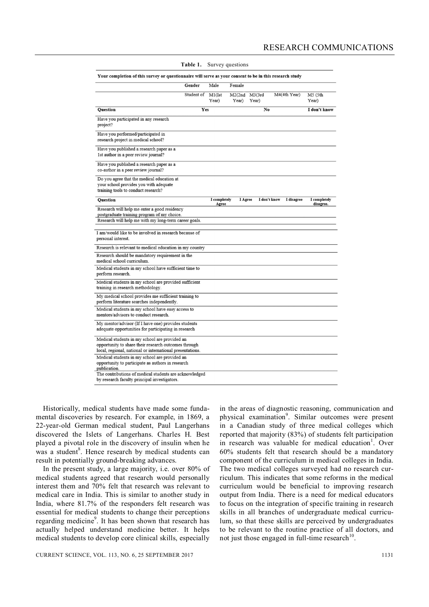|                                                                                                                                                                                                               | Gender     | Male                  | Female           |                  |              |                           |
|---------------------------------------------------------------------------------------------------------------------------------------------------------------------------------------------------------------|------------|-----------------------|------------------|------------------|--------------|---------------------------|
|                                                                                                                                                                                                               | Student of | $M1($ Ist<br>Year)    | M2(2nd)<br>Year) | M3(3rd)<br>Year) | M4(4th Year) | M5 (5th<br>Year)          |
| <b>Ouestion</b>                                                                                                                                                                                               | Yes        |                       |                  | No               |              | I don't know              |
| Have you participated in any research<br>project?                                                                                                                                                             |            |                       |                  |                  |              |                           |
| Have you performed/participated in<br>research project in medical school?                                                                                                                                     |            |                       |                  |                  |              |                           |
| Have you published a research paper as a<br>1st author in a peer review journal?                                                                                                                              |            |                       |                  |                  |              |                           |
| Have you published a research paper as a<br>co-author in a peer review journal?                                                                                                                               |            |                       |                  |                  |              |                           |
| Do you agree that the medical education at<br>your school provides you with adequate<br>training tools to conduct research?                                                                                   |            |                       |                  |                  |              |                           |
| Question                                                                                                                                                                                                      |            | I completely<br>Agree | I Agree          | I don't know     | I disagree   | I completely<br>disagree. |
| Research will help me enter a good residency<br>postgraduate training program of my choice.<br>Research will help me with my long-term career goals.<br>I am/would like to be involved in research because of |            |                       |                  |                  |              |                           |
| personal interest.                                                                                                                                                                                            |            |                       |                  |                  |              |                           |
| Research is relevant to medical education in my country<br>Research should be mandatory requirement in the                                                                                                    |            |                       |                  |                  |              |                           |
| medical school curriculum.                                                                                                                                                                                    |            |                       |                  |                  |              |                           |
| Medical students in my school have sufficient time to<br>perform research.                                                                                                                                    |            |                       |                  |                  |              |                           |
| Medical students in my school are provided sufficient<br>training in research methodology.                                                                                                                    |            |                       |                  |                  |              |                           |
| My medical school provides me sufficient training to<br>perform literature searches independently.                                                                                                            |            |                       |                  |                  |              |                           |
| Medical students in my school have easy access to<br>mentors/advisors to conduct research.                                                                                                                    |            |                       |                  |                  |              |                           |
| My mentor/advisor (If I have one) provides students<br>adequate opportunities for participating in research                                                                                                   |            |                       |                  |                  |              |                           |
| Medical students in my school are provided an<br>opportunity to share their research outcomes through<br>local, regional, national or international presentations.                                            |            |                       |                  |                  |              |                           |
| Medical students in my school are provided an<br>opportunity to participate as authors in research<br>publication.                                                                                            |            |                       |                  |                  |              |                           |
| The contributions of medical students are acknowledged<br>by research faculty principal investigators.                                                                                                        |            |                       |                  |                  |              |                           |

#### **Table 1.** Survey questions

Your completion of this survey or questionnaire will serve as your consent to be in this research study

Historically, medical students have made some fundamental discoveries by research. For example, in 1869, a 22-year-old German medical student, Paul Langerhans discovered the Islets of Langerhans. Charles H. Best played a pivotal role in the discovery of insulin when he was a student<sup>8</sup>. Hence research by medical students can result in potentially ground-breaking advances.

In the present study, a large majority, i.e. over 80% of medical students agreed that research would personally interest them and 70% felt that research was relevant to medical care in India. This is similar to another study in India, where 81.7% of the responders felt research was essential for medical students to change their perceptions regarding medicine<sup>9</sup>. It has been shown that research has actually helped understand medicine better. It helps medical students to develop core clinical skills, especially

in the areas of diagnostic reasoning, communication and physical examination<sup>9</sup>. Similar outcomes were present in a Canadian study of three medical colleges which reported that majority (83%) of students felt participation in research was valuable for medical education<sup>1</sup>. Over 60% students felt that research should be a mandatory component of the curriculum in medical colleges in India. The two medical colleges surveyed had no research curriculum. This indicates that some reforms in the medical curriculum would be beneficial to improving research output from India. There is a need for medical educators to focus on the integration of specific training in research skills in all branches of undergraduate medical curriculum, so that these skills are perceived by undergraduates to be relevant to the routine practice of all doctors, and not just those engaged in full-time research $10$ .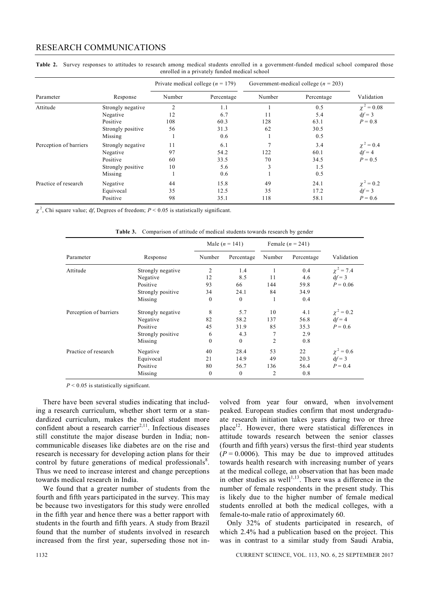### RESEARCH COMMUNICATIONS

|                        | Response          | Private medical college ( $n = 179$ ) |            | Government-medical college ( $n = 203$ ) |            |                 |
|------------------------|-------------------|---------------------------------------|------------|------------------------------------------|------------|-----------------|
| Parameter              |                   | Number                                | Percentage | Number                                   | Percentage | Validation      |
| Attitude               | Strongly negative | $\overline{2}$                        | 1.1        |                                          | 0.5        | $\chi^2 = 0.08$ |
|                        | Negative          | 12                                    | 6.7        | 11                                       | 5.4        | $df = 3$        |
|                        | Positive          | 108                                   | 60.3       | 128                                      | 63.1       | $P = 0.8$       |
|                        | Strongly positive | 56                                    | 31.3       | 62                                       | 30.5       |                 |
|                        | Missing           |                                       | 0.6        |                                          | 0.5        |                 |
| Perception of barriers | Strongly negative | 11                                    | 6.1        |                                          | 3.4        | $\chi^2 = 0.4$  |
|                        | Negative          | 97                                    | 54.2       | 122                                      | 60.1       | $df = 4$        |
|                        | Positive          | 60                                    | 33.5       | 70                                       | 34.5       | $P = 0.5$       |
|                        | Strongly positive | 10                                    | 5.6        | 3                                        | 1.5        |                 |
|                        | Missing           |                                       | 0.6        |                                          | 0.5        |                 |
| Practice of research   | Negative          | 44                                    | 15.8       | 49                                       | 24.1       | $\chi^2 = 0.2$  |
|                        | Equivocal         | 35                                    | 12.5       | 35                                       | 17.2       | $df = 3$        |
|                        | Positive          | 98                                    | 35.1       | 118                                      | 58.1       | $P = 0.6$       |

Table 2. Survey responses to attitudes to research among medical students enrolled in a government-funded medical school compared those enrolled in a privately funded medical school

 $\chi^2$ , Chi square value; df, Degrees of freedom;  $P < 0.05$  is statistically significant.

**Table 3.** Comparison of attitude of medical students towards research by gender

| Parameter              | Response          | Male $(n = 141)$ |              | Female $(n = 241)$ |            |                |
|------------------------|-------------------|------------------|--------------|--------------------|------------|----------------|
|                        |                   | Number           | Percentage   | Number             | Percentage | Validation     |
| Attitude               | Strongly negative | 2                | 1.4          |                    | 0.4        | $\chi^2 = 7.4$ |
|                        | Negative          | 12               | 8.5          | 11                 | 4.6        | $df = 3$       |
|                        | Positive          | 93               | 66           | 144                | 59.8       | $P = 0.06$     |
|                        | Strongly positive | 34               | 24.1         | 84                 | 34.9       |                |
|                        | Missing           | $\mathbf{0}$     | $\mathbf{0}$ |                    | 0.4        |                |
| Perception of barriers | Strongly negative | 8                | 5.7          | 10                 | 4.1        | $\chi^2 = 0.2$ |
|                        | Negative          | 82               | 58.2         | 137                | 56.8       | $df = 4$       |
|                        | Positive          | 45               | 31.9         | 85                 | 35.3       | $P = 0.6$      |
|                        | Strongly positive | 6                | 4.3          | 7                  | 2.9        |                |
|                        | Missing           | $\mathbf{0}$     | $\mathbf{0}$ | $\overline{2}$     | 0.8        |                |
| Practice of research   | Negative          | 40               | 28.4         | 53                 | 22         | $\chi^2 = 0.6$ |
|                        | Equivocal         | 21               | 14.9         | 49                 | 20.3       | $df = 3$       |
|                        | Positive          | 80               | 56.7         | 136                | 56.4       | $P = 0.4$      |
|                        | Missing           | $\mathbf{0}$     | $\mathbf{0}$ | $\overline{2}$     | 0.8        |                |

*P* < 0.05 is statistically significant.

There have been several studies indicating that including a research curriculum, whether short term or a standardized curriculum, makes the medical student more confident about a research carrier<sup>2,11</sup>. Infectious diseases still constitute the major disease burden in India; noncommunicable diseases like diabetes are on the rise and research is necessary for developing action plans for their control by future generations of medical professionals<sup>8</sup>. Thus we need to increase interest and change perceptions towards medical research in India.

We found that a greater number of students from the fourth and fifth years participated in the survey. This may be because two investigators for this study were enrolled in the fifth year and hence there was a better rapport with students in the fourth and fifth years. A study from Brazil found that the number of students involved in research increased from the first year, superseding those not in-

volved from year four onward, when involvement peaked. European studies confirm that most undergraduate research initiation takes years during two or three place<sup>12</sup>. However, there were statistical differences in attitude towards research between the senior classes (fourth and fifth years) versus the first–third year students  $(P = 0.0006)$ . This may be due to improved attitudes towards health research with increasing number of years at the medical college, an observation that has been made in other studies as well $1^{1,13}$ . There was a difference in the number of female respondents in the present study. This is likely due to the higher number of female medical students enrolled at both the medical colleges, with a female-to-male ratio of approximately 60.

Only 32% of students participated in research, of which 2.4% had a publication based on the project. This was in contrast to a similar study from Saudi Arabia,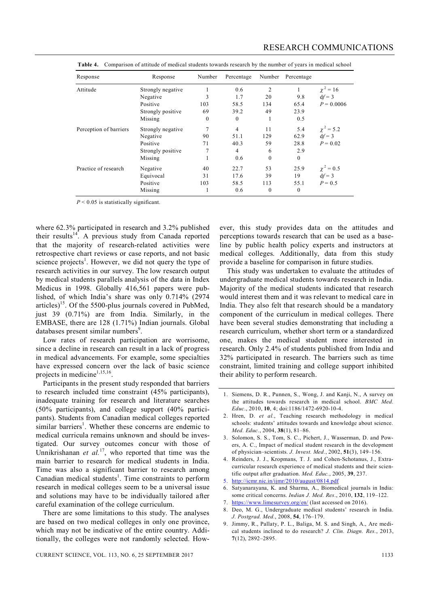| Response               | Response          | Number   | Percentage     | Number       | Percentage   |                 |
|------------------------|-------------------|----------|----------------|--------------|--------------|-----------------|
| Attitude               | Strongly negative |          | 0.6            | 2            | $\mathbf{1}$ | $\gamma^2 = 16$ |
|                        | Negative          | 3        | 1.7            | 20           | 9.8          | $df = 3$        |
|                        | Positive          | 103      | 58.5           | 134          | 65.4         | $P = 0.0006$    |
|                        | Strongly positive | 69       | 39.2           | 49           | 23.9         |                 |
|                        | Missing           | $\theta$ | $\theta$       | 1            | 0.5          |                 |
| Perception of barriers | Strongly negative | $\tau$   | $\overline{4}$ | 11           | 5.4          | $\chi^2 = 5.2$  |
|                        | Negative          | 90       | 51.1           | 129          | 62.9         | $df = 3$        |
|                        | Positive          | 71       | 40.3           | 59           | 28.8         | $P = 0.02$      |
|                        | Strongly positive |          | $\overline{4}$ | 6            | 2.9          |                 |
|                        | Missing           |          | 0.6            | $\mathbf{0}$ | $\mathbf{0}$ |                 |
| Practice of research   | Negative          | 40       | 22.7           | 53           | 25.9         | $\chi^2 = 0.5$  |
|                        | Equivocal         | 31       | 17.6           | 39           | 19           | $df = 3$        |
|                        | Positive          | 103      | 58.5           | 113          | 55.1         | $P = 0.5$       |
|                        | Missing           |          | 0.6            | $\mathbf{0}$ | $\mathbf{0}$ |                 |

**Table 4.** Comparison of attitude of medical students towards research by the number of years in medical school

*P* < 0.05 is statistically significant.

where 62.3% participated in research and 3.2% published their results<sup>14</sup>. A previous study from Canada reported that the majority of research-related activities were retrospective chart reviews or case reports, and not basic science projects<sup>1</sup>. However, we did not query the type of research activities in our survey. The low research output by medical students parallels analysis of the data in Index Medicus in 1998. Globally 416,561 papers were published, of which India's share was only 0.714% (2974 articles)<sup>15</sup>. Of the 5500-plus journals covered in PubMed, just 39 (0.71%) are from India. Similarly, in the EMBASE, there are 128 (1.71%) Indian journals. Global databases present similar numbers<sup>9</sup>.

Low rates of research participation are worrisome, since a decline in research can result in a lack of progress in medical advancements. For example, some specialties have expressed concern over the lack of basic science projects in medicine<sup>1,15,16</sup>.

Participants in the present study responded that barriers to research included time constraint (45% participants), inadequate training for research and literature searches (50% participants), and college support (40% participants). Students from Canadian medical colleges reported similar barriers<sup>1</sup>. Whether these concerns are endemic to medical curricula remains unknown and should be investigated. Our survey outcomes concur with those of Unnikrishanan *et al.*<sup>17</sup>, who reported that time was the main barrier to research for medical students in India. Time was also a significant barrier to research among Canadian medical students<sup>1</sup>. Time constraints to perform research in medical colleges seem to be a universal issue and solutions may have to be individually tailored after careful examination of the college curriculum.

There are some limitations to this study. The analyses are based on two medical colleges in only one province, which may not be indicative of the entire country. Additionally, the colleges were not randomly selected. How-

ever, this study provides data on the attitudes and perceptions towards research that can be used as a baseline by public health policy experts and instructors at medical colleges. Additionally, data from this study provide a baseline for comparison in future studies.

This study was undertaken to evaluate the attitudes of undergraduate medical students towards research in India. Majority of the medical students indicated that research would interest them and it was relevant to medical care in India. They also felt that research should be a mandatory component of the curriculum in medical colleges. There have been several studies demonstrating that including a research curriculum, whether short term or a standardized one, makes the medical student more interested in research. Only 2.4% of students published from India and 32% participated in research. The barriers such as time constraint, limited training and college support inhibited their ability to perform research.

- 5. http://icmr.nic.in/ijmr/2010/august/0814.pdf
- 6. Satyanarayana, K. and Sharma, A., Biomedical journals in India: some critical concerns. *Indian J. Med. Res*., 2010, **132**, 119–122.
- 7. https://www.limesurvey.org/en/ (last accessed on 2016).
- 8. Deo, M. G., Undergraduate medical students' research in India. *J. Postgrad. Med.*, 2008, **54**, 176–179.
- 9. Jimmy, R., Pallaty, P. L., Baliga, M. S. and Singh, A., Are medical students inclined to do research? *J. Clin. Diagn. Res.*, 2013, **7**(12), 2892–2895.

<sup>1.</sup> Siemens, D. R., Punnen, S., Wong, J. and Kanji, N., A survey on the attitudes towards research in medical school. *BMC Med. Educ*., 2010, **10**, 4; doi:1186/1472-6920-10-4.

<sup>2.</sup> Hren, D. *et al.*, Teaching research methodology in medical schools: students' attitudes towards and knowledge about science. *Med. Educ.*, 2004, **38**(1), 81–86.

<sup>3.</sup> Solomon, S. S., Tom, S. C., Pichert, J., Wasserman, D. and Powers, A. C., Impact of medical student research in the development of physician–scientists. *J. Invest. Med.*, 2002, **51**(3), 149–156.

<sup>4.</sup> Reinders, J. J., Kropmans, T. J. and Cohen-Schotanus, J., Extracurricular research experience of medical students and their scientific output after graduation. *Med. Educ.*, 2005, **39**, 237.